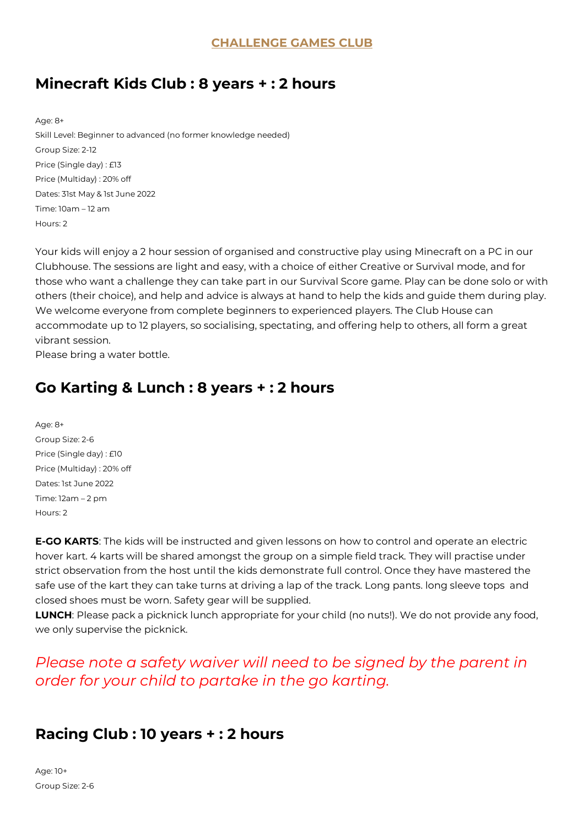## **Minecraft Kids Club : 8 years + : 2 hours**

Age: 8+ Skill Level: Beginner to advanced (no former knowledge needed) Group Size: 2-12 Price (Single day) : £13 Price (Multiday) : 20% off Dates: 31st May & 1st June 2022 Time: 10am – 12 am Hours: 2

Your kids will enjoy a 2 hour session of organised and constructive play using Minecraft on a PC in our Clubhouse. The sessions are light and easy, with a choice of either Creative or Survival mode, and for those who want a challenge they can take part in our Survival Score game. Play can be done solo or with others (their choice), and help and advice is always at hand to help the kids and guide them during play. We welcome everyone from complete beginners to experienced players. The Club House can accommodate up to 12 players, so socialising, spectating, and offering help to others, all form a great vibrant session.

Please bring a water bottle.

## **Go Karting & Lunch : 8 years + : 2 hours**

Age: 8+ Group Size: 2-6 Price (Single day) : £10 Price (Multiday) : 20% off Dates: 1st June 2022 Time: 12am – 2 pm Hours: 2

**E-GO KARTS**: The kids will be instructed and given lessons on how to control and operate an electric hover kart. 4 karts will be shared amongst the group on a simple field track. They will practise under strict observation from the host until the kids demonstrate full control. Once they have mastered the safe use of the kart they can take turns at driving a lap of the track. Long pants. long sleeve tops and closed shoes must be worn. Safety gear will be supplied.

**LUNCH**: Please pack a picknick lunch appropriate for your child (no nuts!). We do not provide any food, we only supervise the picknick.

## *Please note a safety waiver will need to be signed by the parent in order for your child to partake in the go karting.*

#### **Racing Club : 10 years + : 2 hours**

Age: 10+ Group Size: 2-6